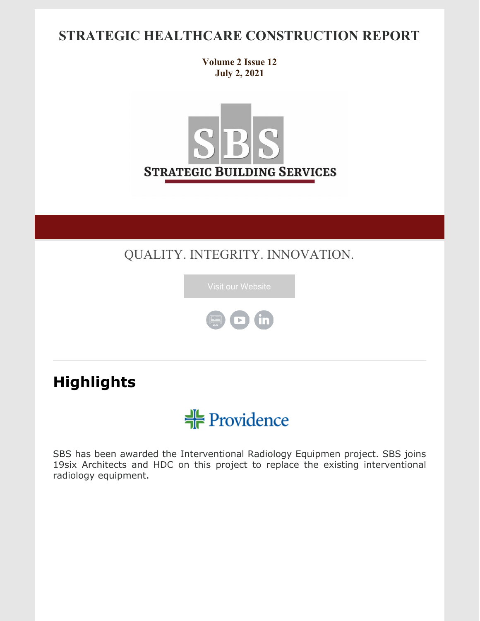### **STRATEGIC HEALTHCARE CONSTRUCTION REPORT**

**Volume 2 Issue 12 July 2, 2021**



QUALITY. INTEGRITY. INNOVATION.





# **Highlights**



SBS has been awarded the Interventional Radiology Equipmen project. SBS joins 19six Architects and HDC on this project to replace the existing interventional radiology equipment.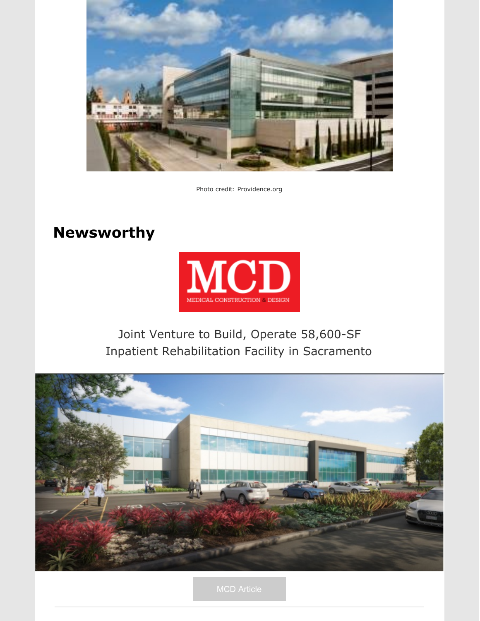

Photo credit: Providence.org

### **Newsworthy**



### Joint Venture to Build, Operate [58,600-SF](https://mcdmag.com/2021/06/joint-venture-to-build-operate-58600-sf-inpatient-rehabilitation-facility-in-sacramento/) Inpatient [Rehabilitation](https://mcdmag.com/2021/06/joint-venture-to-build-operate-58600-sf-inpatient-rehabilitation-facility-in-sacramento/) Facility in Sacramento

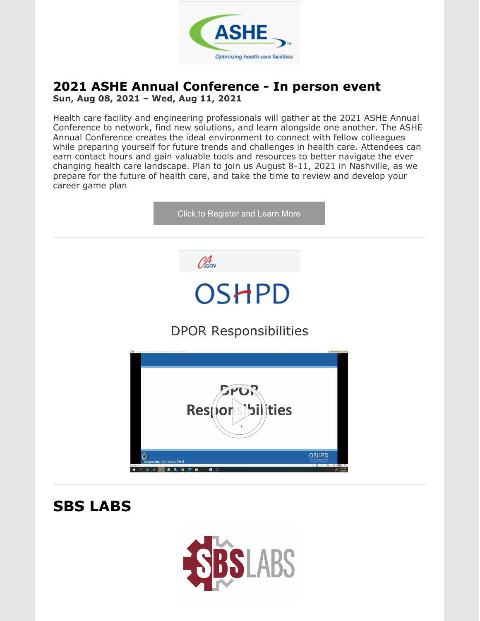

## **2021 ASHE Annual Conference - In person event**

**Sun, Aug 08, 2021 – Wed, Aug 11, 2021**

Health care facility and engineering professionals will gather at the 2021 ASHE Annual Conference to network, find new solutions, and learn alongside one another. The ASHE Annual Conference creates the ideal environment to connect with fellow colleagues while preparing yourself for future trends and challenges in health care. Attendees can earn contact hours and gain valuable tools and resources to better navigate the ever changing health care landscape. Plan to join us August 8-11, 2021 in Nashville, as we prepare for the future of health care, and take the time to review and develop your career game plan

|                    | Click to Register and Learn More                                                        |                        |
|--------------------|-----------------------------------------------------------------------------------------|------------------------|
|                    | Obsov                                                                                   |                        |
|                    | <b>OSHPD</b>                                                                            |                        |
|                    | <b>DPOR Responsibilities</b>                                                            |                        |
|                    |                                                                                         | Click and drag to move |
|                    | Responsibilities                                                                        |                        |
| b<br>$P$ O Hi<br>٠ | <b>OSHPD</b><br><b>Inspection Services Unit</b><br><b>O C B Z</b><br>п.<br>63<br>۰<br>⊕ | 88 89<br>133 PM        |

**SBS LABS**

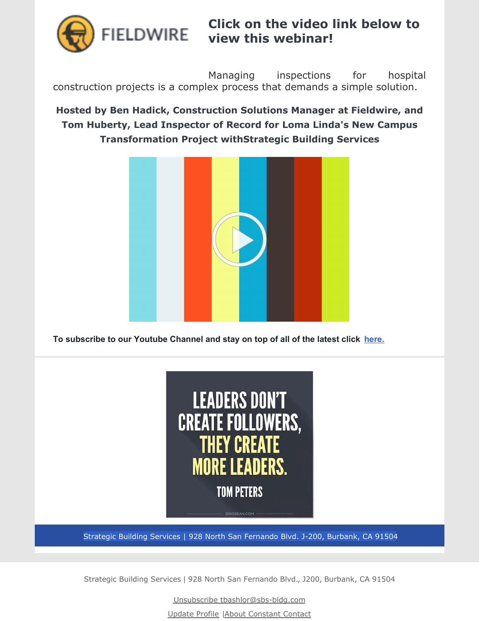

**Click on the video link below to view this webinar!**

Managing inspections for hospital construction projects is a complex process that demands a simple solution.

#### **Hosted by Ben Hadick, Construction Solutions Manager at Fieldwire, and Tom Huberty, Lead Inspector of Record for Loma Linda's New Campus Transformation Project withStrategic Building Services**



**To subscribe to our Youtube Channel and stay on top of all of the latest click [here.](https://www.youtube.com/channel/UCfR7qiqf9X9tzNf1jD-an_Q)**



Strategic Building Services | 928 North San Fernando Blvd. J-200, Burbank, CA 91504

Strategic Building Services | 928 North San Fernando Blvd., J200, Burbank, CA 91504

Unsubscribe tbashlor@sbs-bldg.com

Update Profile |About [Constant](http://www.constantcontact.com/legal/about-constant-contact) Contact